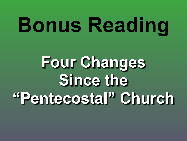# **Bonus Reading**

## **Four Changes Since the "Pentecostal" Church**

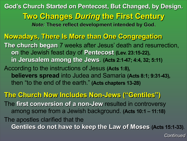**God's Church Started on Pentecost, But Changed, by Design. Two Changes** *During* **the First Century** *Note:* **These reflect development intended by God.**

**Nowadays, There Is More than One Congregation The church began** 7 weeks after Jesus' death and resurrection, **on** the Jewish feast day of **Pentecost (Lev. 23:15-22), in Jerusalem among the Jews**. **(Acts 2:1-47; 4:4, 32; 5:11)**

According to the instructions of Jesus **(Acts 1:8), believers spread** into Judea and Samaria **(Acts 8:1; 9:31-43),** then "to the end of the earth." **(Acts chapters 13-28)**

**The Church Now Includes Non-Jews ("Gentiles")** The **first conversion of a non-Jew** resulted in controversy among some from a Jewish background. **(Acts 10:1 – 11:18)** The apostles clarified that the **Gentiles do not have to keep the Law of Moses (Acts 15:1-33)**.

- 
- 
- 
- 
- 
-